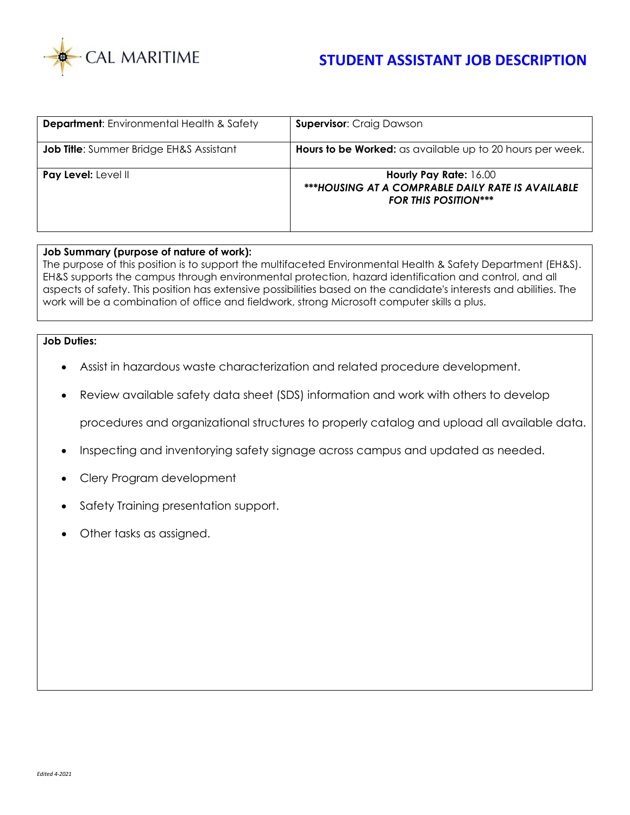

## **STUDENT ASSISTANT JOB DESCRIPTION**

| <b>Department:</b> Environmental Health & Safety | <b>Supervisor: Craig Dawson</b>                                                                            |
|--------------------------------------------------|------------------------------------------------------------------------------------------------------------|
| <b>Job Title:</b> Summer Bridge EH&S Assistant   | Hours to be Worked: as available up to 20 hours per week.                                                  |
| Pay Level: Level II                              | Hourly Pay Rate: 16.00<br>***HOUSING AT A COMPRABLE DAILY RATE IS AVAILABLE<br><b>FOR THIS POSITION***</b> |

## **Job Summary (purpose of nature of work):**

The purpose of this position is to support the multifaceted Environmental Health & Safety Department (EH&S). EH&S supports the campus through environmental protection, hazard identification and control, and all aspects of safety. This position has extensive possibilities based on the candidate's interests and abilities. The work will be a combination of office and fieldwork, strong Microsoft computer skills a plus.

## **Job Duties:**

- Assist in hazardous waste characterization and related procedure development.
- Review available safety data sheet (SDS) information and work with others to develop

procedures and organizational structures to properly catalog and upload all available data.

- Inspecting and inventorying safety signage across campus and updated as needed.
- Clery Program development
- Safety Training presentation support.
- Other tasks as assigned.